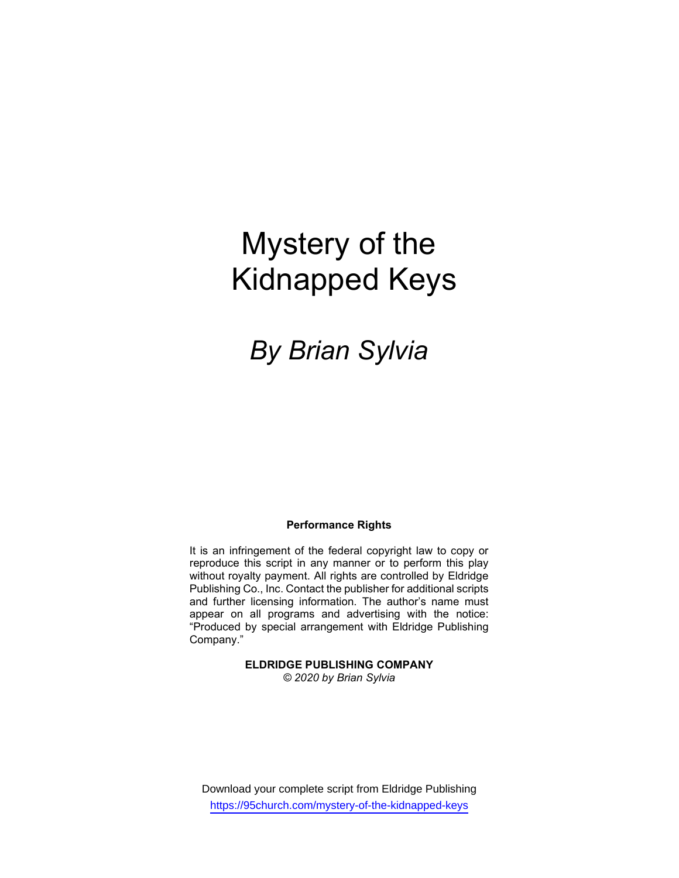# Mystery of the Kidnapped Keys

# By Brian Sylvia

#### Performance Rights

It is an infringement of the federal copyright law to copy or reproduce this script in any manner or to perform this play without royalty payment. All rights are controlled by Eldridge Publishing Co., Inc. Contact the publisher for additional scripts and further licensing information. The author's name must appear on all programs and advertising with the notice: "Produced by special arrangement with Eldridge Publishing Company."

> ELDRIDGE PUBLISHING COMPANY © 2020 by Brian Sylvia

Download your complete script from Eldridge Publishing https://95church.com/mystery-of-the-kidnapped-keys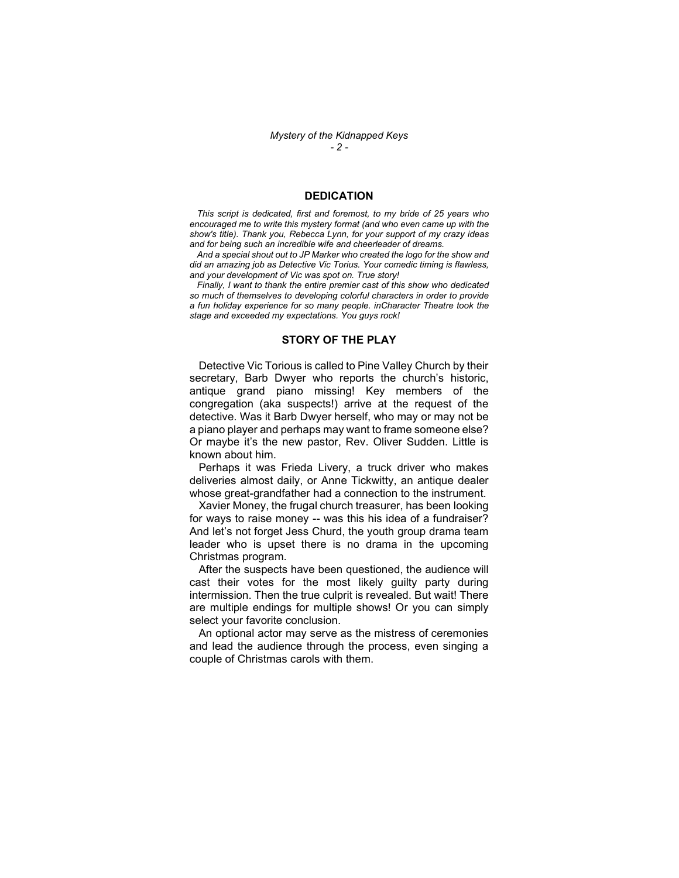#### **DEDICATION**

 This script is dedicated, first and foremost, to my bride of 25 years who encouraged me to write this mystery format (and who even came up with the show's title). Thank you, Rebecca Lynn, for your support of my crazy ideas and for being such an incredible wife and cheerleader of dreams.

 And a special shout out to JP Marker who created the logo for the show and did an amazing job as Detective Vic Torius. Your comedic timing is flawless, and your development of Vic was spot on. True story!

 Finally, I want to thank the entire premier cast of this show who dedicated so much of themselves to developing colorful characters in order to provide a fun holiday experience for so many people. inCharacter Theatre took the stage and exceeded my expectations. You guys rock!

#### STORY OF THE PLAY

 Detective Vic Torious is called to Pine Valley Church by their secretary, Barb Dwyer who reports the church's historic, antique grand piano missing! Key members of the congregation (aka suspects!) arrive at the request of the detective. Was it Barb Dwyer herself, who may or may not be a piano player and perhaps may want to frame someone else? Or maybe it's the new pastor, Rev. Oliver Sudden. Little is known about him.

 Perhaps it was Frieda Livery, a truck driver who makes deliveries almost daily, or Anne Tickwitty, an antique dealer whose great-grandfather had a connection to the instrument.

 Xavier Money, the frugal church treasurer, has been looking for ways to raise money -- was this his idea of a fundraiser? And let's not forget Jess Churd, the youth group drama team leader who is upset there is no drama in the upcoming Christmas program.

 After the suspects have been questioned, the audience will cast their votes for the most likely guilty party during intermission. Then the true culprit is revealed. But wait! There are multiple endings for multiple shows! Or you can simply select your favorite conclusion.

 An optional actor may serve as the mistress of ceremonies and lead the audience through the process, even singing a couple of Christmas carols with them.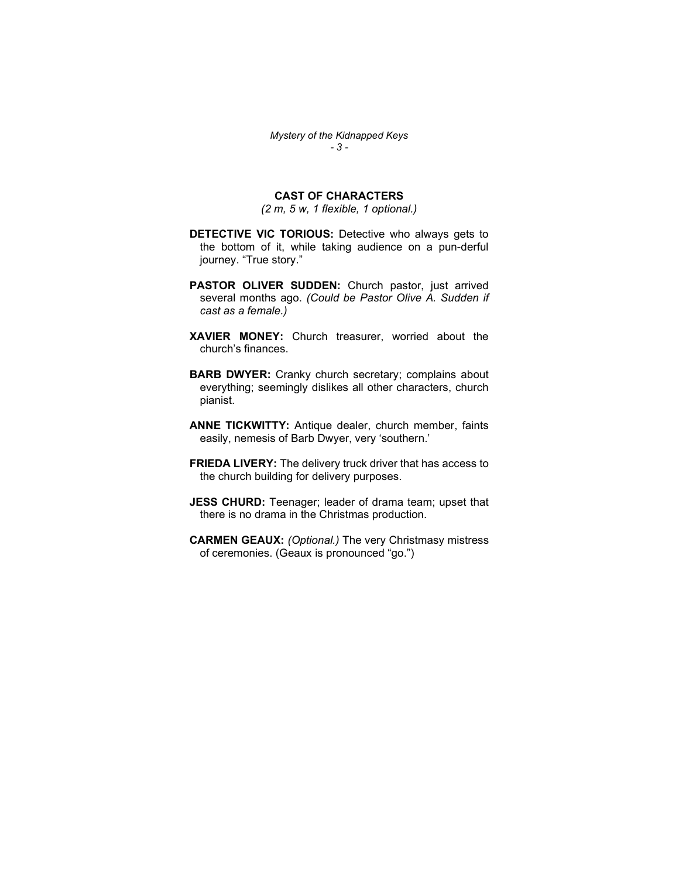# CAST OF CHARACTERS

(2 m, 5 w, 1 flexible, 1 optional.)

- DETECTIVE VIC TORIOUS: Detective who always gets to the bottom of it, while taking audience on a pun-derful journey. "True story."
- PASTOR OLIVER SUDDEN: Church pastor, just arrived several months ago. (Could be Pastor Olive A. Sudden if cast as a female.)
- XAVIER MONEY: Church treasurer, worried about the church's finances.
- **BARB DWYER:** Cranky church secretary; complains about everything; seemingly dislikes all other characters, church pianist.
- ANNE TICKWITTY: Antique dealer, church member, faints easily, nemesis of Barb Dwyer, very 'southern.'
- FRIEDA LIVERY: The delivery truck driver that has access to the church building for delivery purposes.
- JESS CHURD: Teenager; leader of drama team; upset that there is no drama in the Christmas production.
- CARMEN GEAUX: (Optional.) The very Christmasy mistress of ceremonies. (Geaux is pronounced "go.")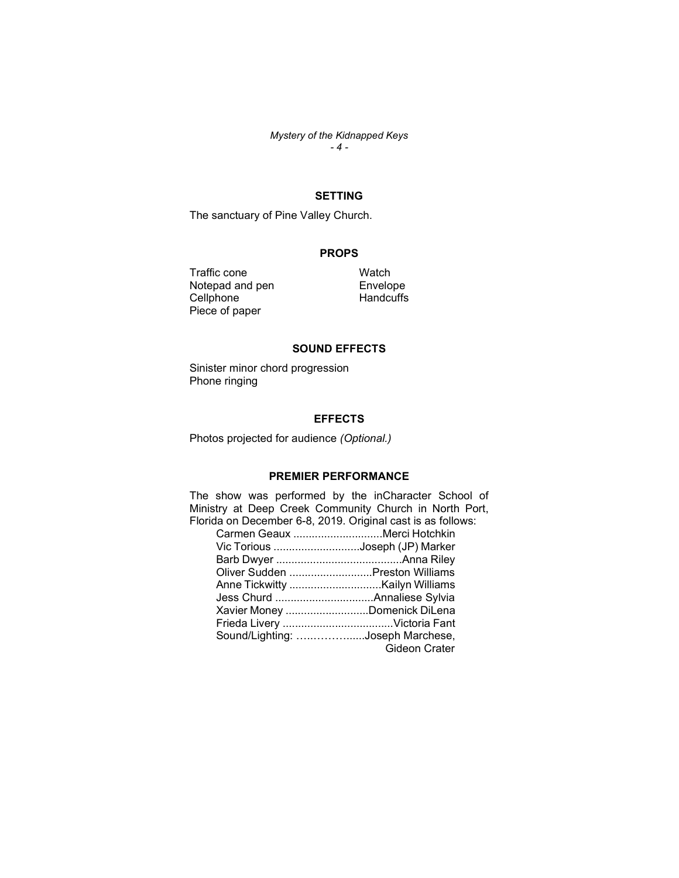Mystery of the Kidnapped Keys - 4 -

# SETTING

The sanctuary of Pine Valley Church.

## PROPS

Traffic cone Notepad and pen **Cellphone** Piece of paper

**Watch** Envelope **Handcuffs** 

### SOUND EFFECTS

Sinister minor chord progression Phone ringing

#### **EFFECTS**

Photos projected for audience (Optional.)

# PREMIER PERFORMANCE

The show was performed by the inCharacter School of Ministry at Deep Creek Community Church in North Port, Florida on December 6-8, 2019. Original cast is as follows:

| Carmen Geaux Merci Hotchkin      |
|----------------------------------|
| Vic Torious Joseph (JP) Marker   |
|                                  |
| Oliver Sudden Preston Williams   |
| Anne Tickwitty Kailyn Williams   |
|                                  |
| Xavier Money Domenick DiLena     |
|                                  |
| Sound/Lighting: Joseph Marchese, |
| Gideon Crater                    |
|                                  |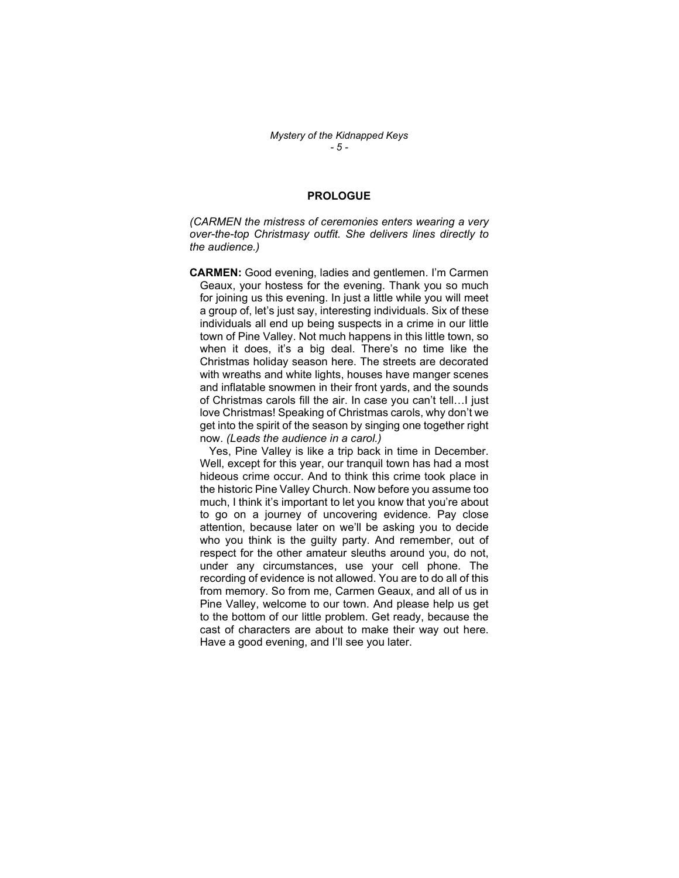#### PROLOGUE

(CARMEN the mistress of ceremonies enters wearing a very over-the-top Christmasy outfit. She delivers lines directly to the audience.)

CARMEN: Good evening, ladies and gentlemen. I'm Carmen Geaux, your hostess for the evening. Thank you so much for joining us this evening. In just a little while you will meet a group of, let's just say, interesting individuals. Six of these individuals all end up being suspects in a crime in our little town of Pine Valley. Not much happens in this little town, so when it does, it's a big deal. There's no time like the Christmas holiday season here. The streets are decorated with wreaths and white lights, houses have manger scenes and inflatable snowmen in their front yards, and the sounds of Christmas carols fill the air. In case you can't tell…I just love Christmas! Speaking of Christmas carols, why don't we get into the spirit of the season by singing one together right now. (Leads the audience in a carol.)

 Yes, Pine Valley is like a trip back in time in December. Well, except for this year, our tranquil town has had a most hideous crime occur. And to think this crime took place in the historic Pine Valley Church. Now before you assume too much, I think it's important to let you know that you're about to go on a journey of uncovering evidence. Pay close attention, because later on we'll be asking you to decide who you think is the guilty party. And remember, out of respect for the other amateur sleuths around you, do not, under any circumstances, use your cell phone. The recording of evidence is not allowed. You are to do all of this from memory. So from me, Carmen Geaux, and all of us in Pine Valley, welcome to our town. And please help us get to the bottom of our little problem. Get ready, because the cast of characters are about to make their way out here. Have a good evening, and I'll see you later.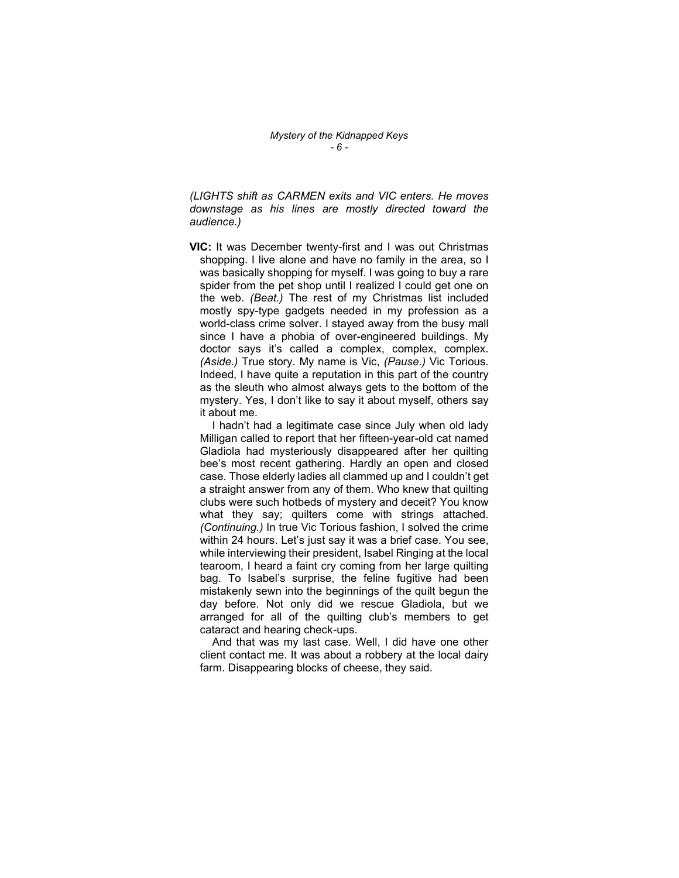(LIGHTS shift as CARMEN exits and VIC enters. He moves downstage as his lines are mostly directed toward the audience.)

VIC: It was December twenty-first and I was out Christmas shopping. I live alone and have no family in the area, so I was basically shopping for myself. I was going to buy a rare spider from the pet shop until I realized I could get one on the web. (Beat.) The rest of my Christmas list included mostly spy-type gadgets needed in my profession as a world-class crime solver. I stayed away from the busy mall since I have a phobia of over-engineered buildings. My doctor says it's called a complex, complex, complex. (Aside.) True story. My name is Vic, (Pause.) Vic Torious. Indeed, I have quite a reputation in this part of the country as the sleuth who almost always gets to the bottom of the mystery. Yes, I don't like to say it about myself, others say it about me.

 I hadn't had a legitimate case since July when old lady Milligan called to report that her fifteen-year-old cat named Gladiola had mysteriously disappeared after her quilting bee's most recent gathering. Hardly an open and closed case. Those elderly ladies all clammed up and I couldn't get a straight answer from any of them. Who knew that quilting clubs were such hotbeds of mystery and deceit? You know what they say; quilters come with strings attached. (Continuing.) In true Vic Torious fashion, I solved the crime within 24 hours. Let's just say it was a brief case. You see, while interviewing their president, Isabel Ringing at the local tearoom, I heard a faint cry coming from her large quilting bag. To Isabel's surprise, the feline fugitive had been mistakenly sewn into the beginnings of the quilt begun the day before. Not only did we rescue Gladiola, but we arranged for all of the quilting club's members to get cataract and hearing check-ups.

 And that was my last case. Well, I did have one other client contact me. It was about a robbery at the local dairy farm. Disappearing blocks of cheese, they said.